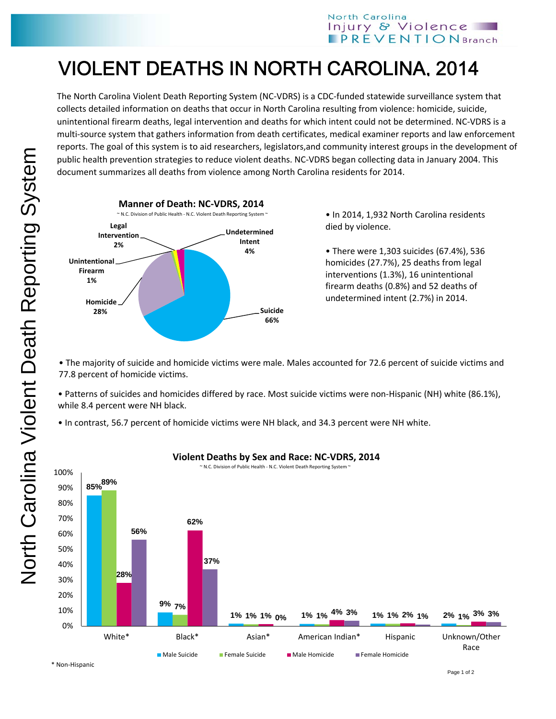## VIOLENT DEATHS IN NORTH CAROLINA, 2014

The North Carolina Violent Death Reporting System (NC‐VDRS) is a CDC‐funded statewide surveillance system that collects detailed information on deaths that occur in North Carolina resulting from violence: homicide, suicide, unintentional firearm deaths, legal intervention and deaths for which intent could not be determined. NC‐VDRS is a multi‐source system that gathers information from death certificates, medical examiner reports and law enforcement reports. The goal of this system is to aid researchers, legislators,and community interest groups in the development of public health prevention strategies to reduce violent deaths. NC‐VDRS began collecting data in January 2004. This document summarizes all deaths from violence among North Carolina residents for 2014.



• In 2014, 1,932 North Carolina residents died by violence.

• There were 1,303 suicides (67.4%), 536 homicides (27.7%), 25 deaths from legal interventions (1.3%), 16 unintentional firearm deaths (0.8%) and 52 deaths of undetermined intent (2.7%) in 2014.

• The majority of suicide and homicide victims were male. Males accounted for 72.6 percent of suicide victims and 77.8 percent of homicide victims.

• Patterns of suicides and homicides differed by race. Most suicide victims were non‐Hispanic (NH) white (86.1%), while 8.4 percent were NH black.

• In contrast, 56.7 percent of homicide victims were NH black, and 34.3 percent were NH white.



## **Violent Deaths by Sex and Race: NC‐VDRS, 2014**

North Carolina Violent Death Reporting System North Carolina Violent Death Reporting System

\* Non‐Hispanic

Page 1 of 2